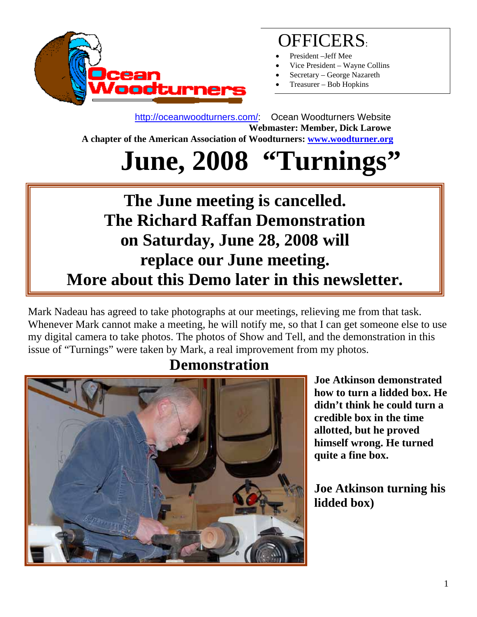

## OFFICERS:

- President –Jeff Mee
- Vice President Wayne Collins
- Secretary George Nazareth
- Treasurer Bob Hopkins

 http://oceanwoodturners.com/: Ocean Woodturners Website **Webmaster: Member, Dick Larowe A chapter of the American Association of Woodturners: www.woodturner.org** 

# **June, 2008 "Turnings"**

## **The June meeting is cancelled. The Richard Raffan Demonstration on Saturday, June 28, 2008 will replace our June meeting. More about this Demo later in this newsletter.**

Mark Nadeau has agreed to take photographs at our meetings, relieving me from that task. Whenever Mark cannot make a meeting, he will notify me, so that I can get someone else to use my digital camera to take photos. The photos of Show and Tell, and the demonstration in this issue of "Turnings" were taken by Mark, a real improvement from my photos.

#### **Demonstration**



**Joe Atkinson demonstrated how to turn a lidded box. He didn't think he could turn a credible box in the time allotted, but he proved himself wrong. He turned quite a fine box.** 

**Joe Atkinson turning his lidded box)**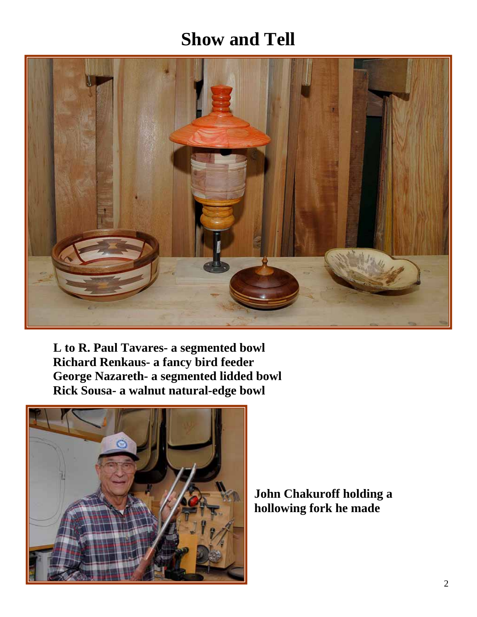## **Show and Tell**



 **L to R. Paul Tavares- a segmented bowl Richard Renkaus- a fancy bird feeder George Nazareth- a segmented lidded bowl Rick Sousa- a walnut natural-edge bowl** 



**John Chakuroff holding a hollowing fork he made**